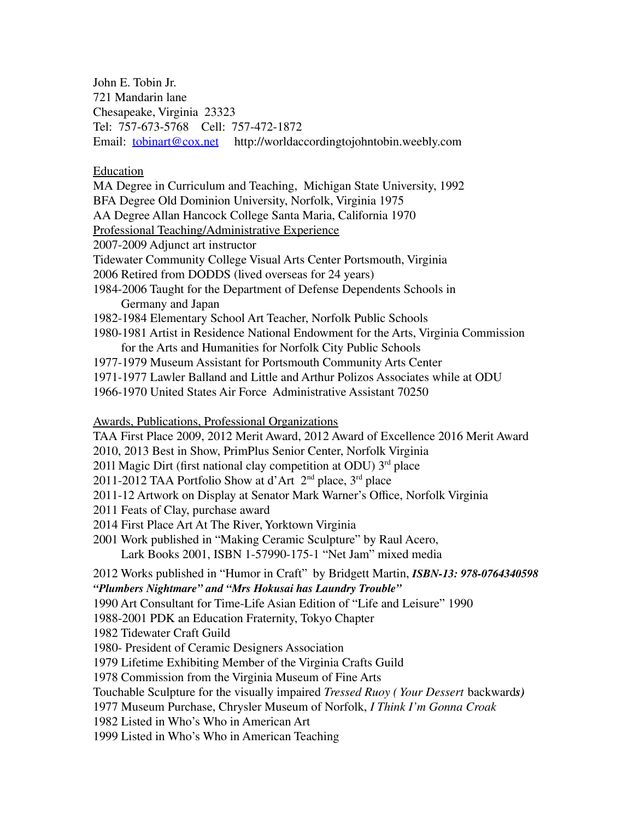John E. Tobin Jr. 721 Mandarin lane Chesapeake, Virginia 23323 Tel: 757-673-5768 Cell: 757-472-1872 Email: <u>[tobinart@cox.net](mailto:tobinart@cox.net)</u> http://worldaccordingtojohntobin.weebly.com

## Education

MA Degree in Curriculum and Teaching, Michigan State University, 1992 BFA Degree Old Dominion University, Norfolk, Virginia 1975 AA Degree Allan Hancock College Santa Maria, California 1970 Professional Teaching/Administrative Experience 2007-2009 Adjunct art instructor Tidewater Community College Visual Arts Center Portsmouth, Virginia 2006 Retired from DODDS (lived overseas for 24 years) 1984-2006 Taught for the Department of Defense Dependents Schools in Germany and Japan 1982-1984 Elementary School Art Teacher, Norfolk Public Schools 1980-1981 Artist in Residence National Endowment for the Arts, Virginia Commission for the Arts and Humanities for Norfolk City Public Schools 1977-1979 Museum Assistant for Portsmouth Community Arts Center 1971-1977 Lawler Balland and Little and Arthur Polizos Associates while at ODU 1966-1970 United States Air Force Administrative Assistant 70250 Awards, Publications, Professional Organizations TAA First Place 2009, 2012 Merit Award, 2012 Award of Excellence 2016 Merit Award 2010, 2013 Best in Show, PrimPlus Senior Center, Norfolk Virginia 2011 Magic Dirt (first national clay competition at ODU)  $3<sup>rd</sup>$  place 2011-2012 TAA Portfolio Show at d'Art  $2<sup>nd</sup>$  place, 3<sup>rd</sup> place 2011-12 Artwork on Display at Senator Mark Warner's Office, Norfolk Virginia 2011 Feats of Clay, purchase award 2014 First Place Art At The River, Yorktown Virginia 2001 Work published in "Making Ceramic Sculpture" by Raul Acero, Lark Books 2001, ISBN 1-57990-175-1 "Net Jam" mixed media 2012 Works published in "Humor in Craft" by Bridgett Martin, *ISBN-13: 978-0764340598 "Plumbers Nightmare" and "Mrs Hokusai has Laundry Trouble"* 1990 Art Consultant for Time-Life Asian Edition of "Life and Leisure" 1990 1988-2001 PDK an Education Fraternity, Tokyo Chapter 1982 Tidewater Craft Guild 1980- President of Ceramic Designers Association 1979 Lifetime Exhibiting Member of the Virginia Crafts Guild 1978 Commission from the Virginia Museum of Fine Arts Touchable Sculpture for the visually impaired *Tressed Ruoy ( Your Dessert* backward*s)* 1977 Museum Purchase, Chrysler Museum of Norfolk, *I Think I'm Gonna Croak* 1982 Listed in Who's Who in American Art 1999 Listed in Who's Who in American Teaching